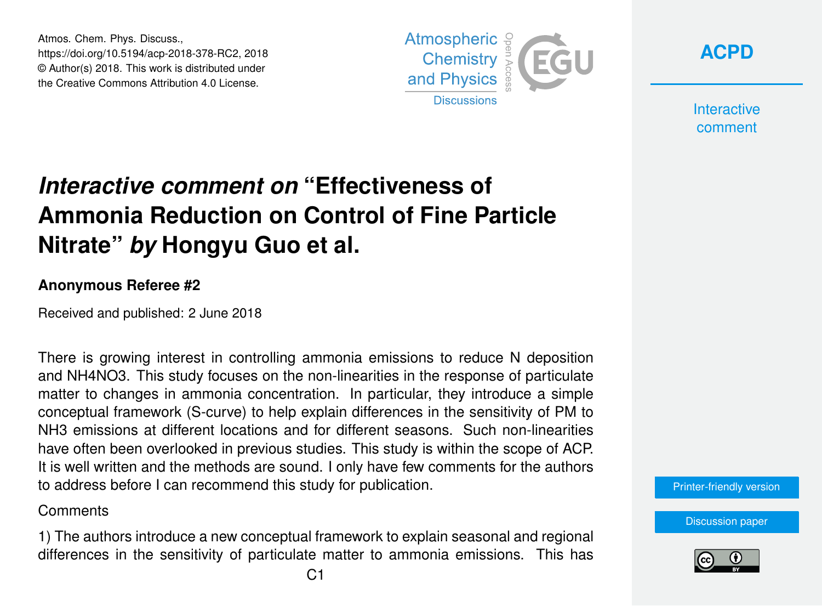Atmos. Chem. Phys. Discuss., https://doi.org/10.5194/acp-2018-378-RC2, 2018 © Author(s) 2018. This work is distributed under the Creative Commons Attribution 4.0 License.



**[ACPD](https://www.atmos-chem-phys-discuss.net/)**

**Interactive** comment

# *Interactive comment on* **"Effectiveness of Ammonia Reduction on Control of Fine Particle Nitrate"** *by* **Hongyu Guo et al.**

#### **Anonymous Referee #2**

Received and published: 2 June 2018

There is growing interest in controlling ammonia emissions to reduce N deposition and NH4NO3. This study focuses on the non-linearities in the response of particulate matter to changes in ammonia concentration. In particular, they introduce a simple conceptual framework (S-curve) to help explain differences in the sensitivity of PM to NH3 emissions at different locations and for different seasons. Such non-linearities have often been overlooked in previous studies. This study is within the scope of ACP. It is well written and the methods are sound. I only have few comments for the authors to address before I can recommend this study for publication.

#### **Comments**

1) The authors introduce a new conceptual framework to explain seasonal and regional differences in the sensitivity of particulate matter to ammonia emissions. This has [Printer-friendly version](https://www.atmos-chem-phys-discuss.net/acp-2018-378/acp-2018-378-RC2-print.pdf)

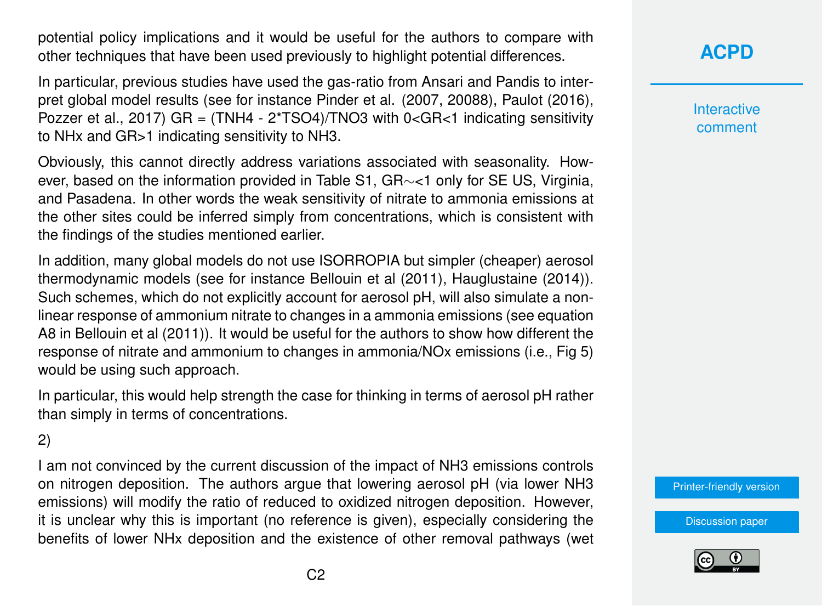potential policy implications and it would be useful for the authors to compare with other techniques that have been used previously to highlight potential differences.

In particular, previous studies have used the gas-ratio from Ansari and Pandis to interpret global model results (see for instance Pinder et al. (2007, 20088), Paulot (2016), Pozzer et al., 2017) GR =  $(TMHA - 2*TSO4)/TNO3$  with  $0 < GR < 1$  indicating sensitivity to NHx and GR>1 indicating sensitivity to NH3.

Obviously, this cannot directly address variations associated with seasonality. However, based on the information provided in Table S1, GR∼<1 only for SE US, Virginia, and Pasadena. In other words the weak sensitivity of nitrate to ammonia emissions at the other sites could be inferred simply from concentrations, which is consistent with the findings of the studies mentioned earlier.

In addition, many global models do not use ISORROPIA but simpler (cheaper) aerosol thermodynamic models (see for instance Bellouin et al (2011), Hauglustaine (2014)). Such schemes, which do not explicitly account for aerosol pH, will also simulate a nonlinear response of ammonium nitrate to changes in a ammonia emissions (see equation A8 in Bellouin et al (2011)). It would be useful for the authors to show how different the response of nitrate and ammonium to changes in ammonia/NOx emissions (i.e., Fig 5) would be using such approach.

In particular, this would help strength the case for thinking in terms of aerosol pH rather than simply in terms of concentrations.

2)

I am not convinced by the current discussion of the impact of NH3 emissions controls on nitrogen deposition. The authors argue that lowering aerosol pH (via lower NH3 emissions) will modify the ratio of reduced to oxidized nitrogen deposition. However, it is unclear why this is important (no reference is given), especially considering the benefits of lower NHx deposition and the existence of other removal pathways (wet **[ACPD](https://www.atmos-chem-phys-discuss.net/)**

**Interactive** comment

[Printer-friendly version](https://www.atmos-chem-phys-discuss.net/acp-2018-378/acp-2018-378-RC2-print.pdf)

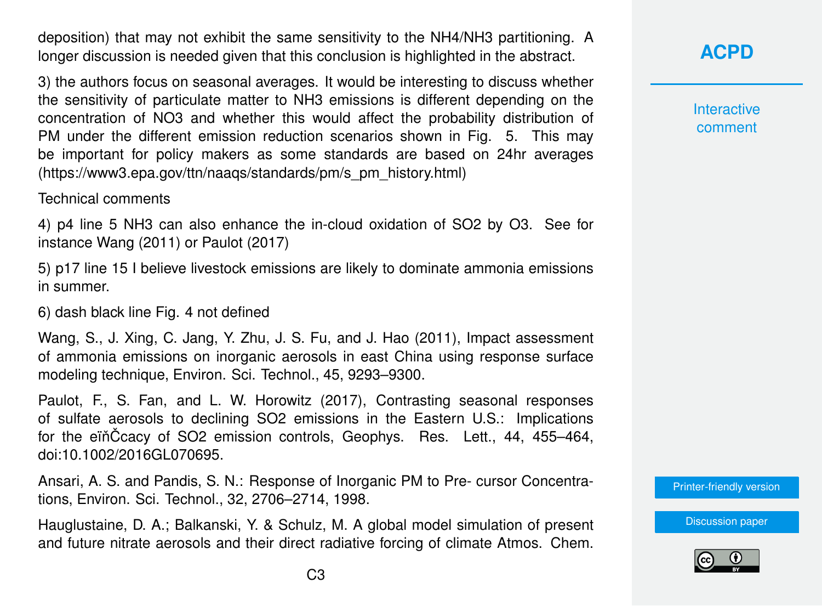deposition) that may not exhibit the same sensitivity to the NH4/NH3 partitioning. A longer discussion is needed given that this conclusion is highlighted in the abstract.

3) the authors focus on seasonal averages. It would be interesting to discuss whether the sensitivity of particulate matter to NH3 emissions is different depending on the concentration of NO3 and whether this would affect the probability distribution of PM under the different emission reduction scenarios shown in Fig. 5. This may be important for policy makers as some standards are based on 24hr averages (https://www3.epa.gov/ttn/naaqs/standards/pm/s\_pm\_history.html)

Technical comments

4) p4 line 5 NH3 can also enhance the in-cloud oxidation of SO2 by O3. See for instance Wang (2011) or Paulot (2017)

5) p17 line 15 I believe livestock emissions are likely to dominate ammonia emissions in summer.

6) dash black line Fig. 4 not defined

Wang, S., J. Xing, C. Jang, Y. Zhu, J. S. Fu, and J. Hao (2011), Impact assessment of ammonia emissions on inorganic aerosols in east China using response surface modeling technique, Environ. Sci. Technol., 45, 9293–9300.

Paulot, F., S. Fan, and L. W. Horowitz (2017), Contrasting seasonal responses of sulfate aerosols to declining SO2 emissions in the Eastern U.S.: Implications for the einCcacy of SO2 emission controls, Geophys. Res. Lett., 44, 455–464, doi:10.1002/2016GL070695.

Ansari, A. S. and Pandis, S. N.: Response of Inorganic PM to Pre- cursor Concentrations, Environ. Sci. Technol., 32, 2706–2714, 1998.

Hauglustaine, D. A.; Balkanski, Y. & Schulz, M. A global model simulation of present and future nitrate aerosols and their direct radiative forcing of climate Atmos. Chem.

## **[ACPD](https://www.atmos-chem-phys-discuss.net/)**

**Interactive** comment

[Printer-friendly version](https://www.atmos-chem-phys-discuss.net/acp-2018-378/acp-2018-378-RC2-print.pdf)